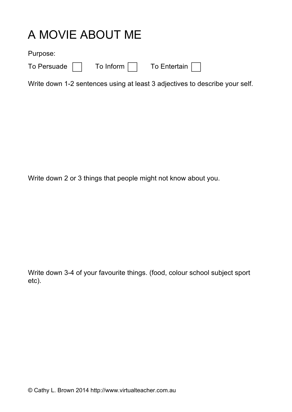## A MOVIE ABOUT ME

Purpose:

To Inform  $\Box$  To Entertain  $\Box$ 

Write down 1-2 sentences using at least 3 adjectives to describe your self.

Write down 2 or 3 things that people might not know about you.

Write down 3-4 of your favourite things. (food, colour school subject sport etc).